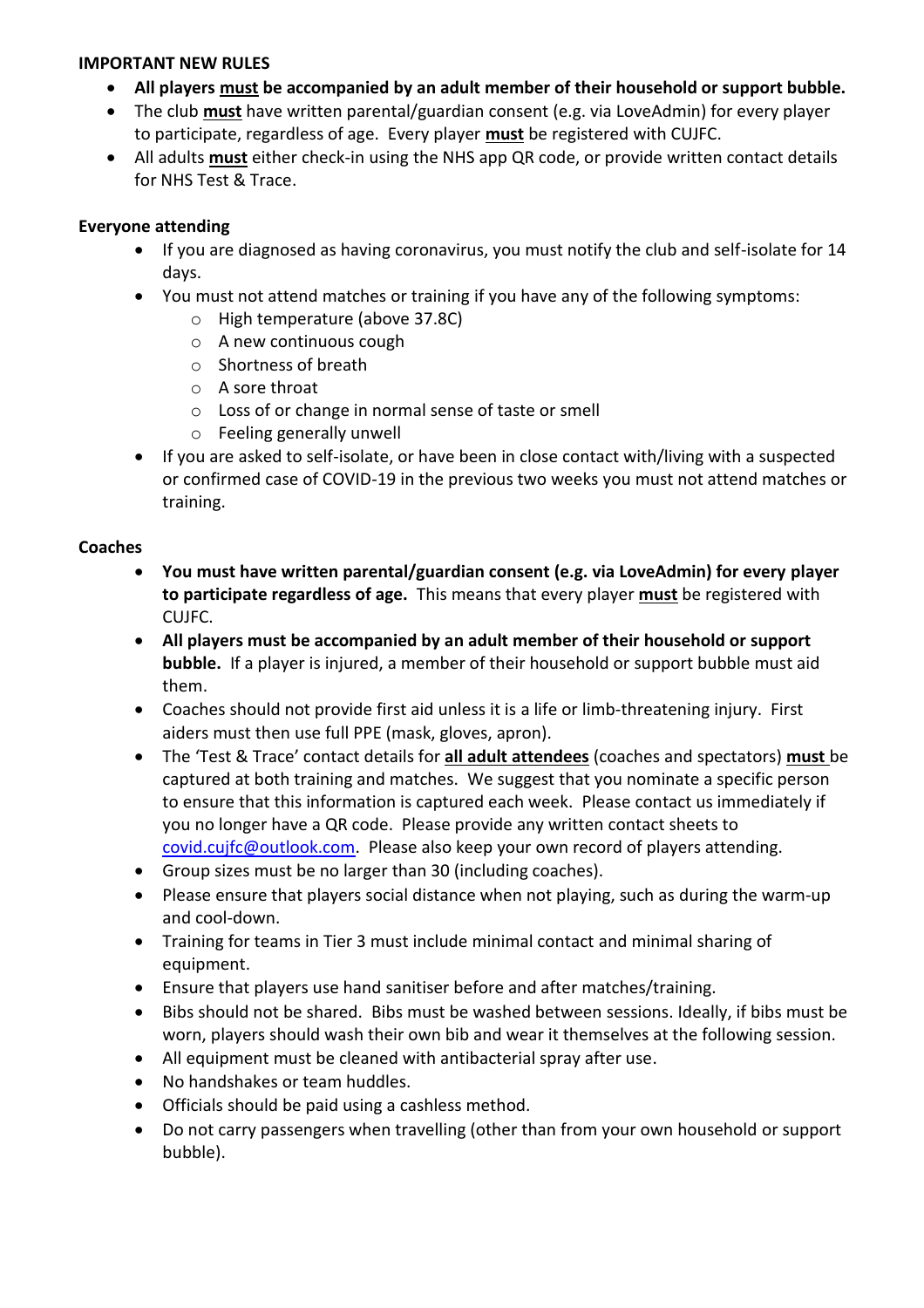### **IMPORTANT NEW RULES**

- **All players must be accompanied by an adult member of their household or support bubble.**
- The club **must** have written parental/guardian consent (e.g. via LoveAdmin) for every player to participate, regardless of age. Every player **must** be registered with CUJFC.
- All adults **must** either check-in using the NHS app QR code, or provide written contact details for NHS Test & Trace.

# **Everyone attending**

- If you are diagnosed as having coronavirus, you must notify the club and self-isolate for 14 days.
- You must not attend matches or training if you have any of the following symptoms:
	- o High temperature (above 37.8C)
	- o A new continuous cough
	- o Shortness of breath
	- o A sore throat
	- o Loss of or change in normal sense of taste or smell
	- o Feeling generally unwell
- If you are asked to self-isolate, or have been in close contact with/living with a suspected or confirmed case of COVID-19 in the previous two weeks you must not attend matches or training.

### **Coaches**

- **You must have written parental/guardian consent (e.g. via LoveAdmin) for every player to participate regardless of age.** This means that every player **must** be registered with CUJFC.
- **All players must be accompanied by an adult member of their household or support bubble.** If a player is injured, a member of their household or support bubble must aid them.
- Coaches should not provide first aid unless it is a life or limb-threatening injury. First aiders must then use full PPE (mask, gloves, apron).
- The 'Test & Trace' contact details for **all adult attendees** (coaches and spectators) **must** be captured at both training and matches. We suggest that you nominate a specific person to ensure that this information is captured each week. Please contact us immediately if you no longer have a QR code. Please provide any written contact sheets to [covid.cujfc@outlook.com.](mailto:covid.cujfc@outlook.com) Please also keep your own record of players attending.
- Group sizes must be no larger than 30 (including coaches).
- Please ensure that players social distance when not playing, such as during the warm-up and cool-down.
- Training for teams in Tier 3 must include minimal contact and minimal sharing of equipment.
- Ensure that players use hand sanitiser before and after matches/training.
- Bibs should not be shared. Bibs must be washed between sessions. Ideally, if bibs must be worn, players should wash their own bib and wear it themselves at the following session.
- All equipment must be cleaned with antibacterial spray after use.
- No handshakes or team huddles.
- Officials should be paid using a cashless method.
- Do not carry passengers when travelling (other than from your own household or support bubble).